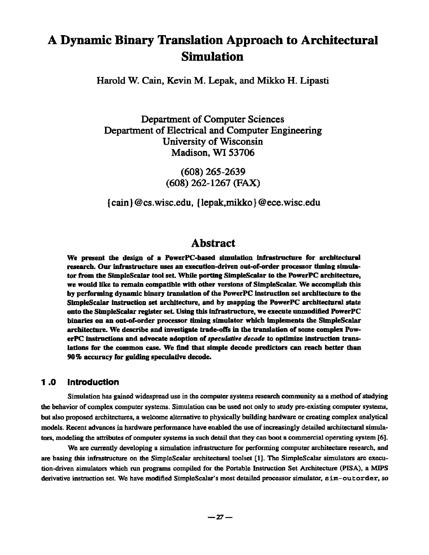# **A Dynamic Binary Translation Approach to Architectural Simulation**

**Harold W. Cain, Kevin M. Lepak, and Mikko H. Lipasti** 

**Department of Computer Sciences Department of Electrical and Computer Engineering University of Wisconsin Madison, WI 53706** 

> **(608) 265-2639 (608)** 262-1267 (FAX)

**{ cain } @ cs.wisc.edu, { lepak,mikko } @ ece.wisc.edu** 

# **Abstract**

We present the design of a PowerPC-based simulation infrastructure for architectural research. Our infrastructure uses an execution-driven out-of-order processor timing simulator from the SimpleScalar tool set. While porting SimpleScalar to the PowerPC architecture, we would like to remain compatible with other versions of SimpleScalar. We accomplish this by performing dynamic binary translation of the PowerPC instruction set architecture to the SimpleScalar instruction set architecture, and by mapping the PowerPC architectural state onto the Simple.Scalar register set. Using this infrastructure, we execute unmodified PowerPC binaries on an out-of-order processor timing simulator which implements the SimpleScalar architecture. We describe and investigate trade-offs in the translation of some complex PowerPC instructions and advocate adoption of *speculative decode to* optimize instruction translations for the common ease. We find that simple decode predictors can reach better than 90 % accuracy for guiding speculative decode.

### **1 .0 Introduction**

Simulation has gained widespread use in the computer systems research community as a method of studying the behavior of complex computer systems. Simulation can be used not only to study pre-existing computer systems, but also proposed architectures, a welcome alternative to physically building hardware or creating complex analytical models. Recent advances in hardware performance have enabled the use of increasingly detailed architectural simulators, modeling the attributes of computer systems in such detail that they can boot a commercial operating system [6].

We are currently developing a simulation infrastructure for performing computer architecture research, and are basing this infrastructure on the SimpleScalar architectural toolset [1]. The SimpleScalar simulators are execution-driven simulators which run programs compiled for the Portable Instruction Set Architecture (PISA), a MIPS derivative instruction set. We have modified SimpleScalar's most detailed processor simulator, sim-outorder, so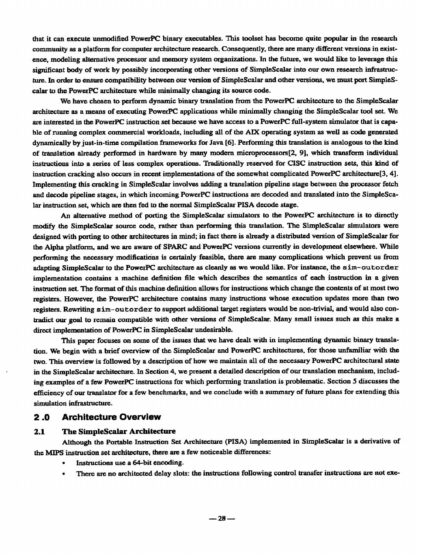that it can execute unmodified PowerPC binary executables. This toolset has become quite popular in the research community as a platform for computer architecture research. Consequently, there are many different versions in existence, modeling alternative processor and memory system organizations. In the future, we would like to leverage this significant body of work by possibly incorporating other versions of SimpleScalar into our own research infraslructure. In order to ensure compatibility between our version of SimpleScalar and other versions, we must port SimpleScaiar to the PowerPC architecture while minimally changing its source code.

We have chosen to perform dynamic binary translation from the PowerPC architecture to the SimpleScalar architecture as a means of executing PowerPC applications while minimally changing the SimpleScalar tool set. We are interested in the PowerPC instruction set because we have access to a PowerPC full-system simulator that is capable of running complex commercial workloads, including all of the AIX operating system as well as code generated dynamically by just-in-time compilation frameworks for Java [6]. Performing this translation is analogous to the kind of translation already performed in hardware by many modern microprocessors[2, 9], which transform individual instructions into a series of less complex operations. Traditionally reserved for CISC instruction sets, this kind of instruction cracking also occurs in recent implementations of the somewhat complicated PowerPC architecture[3, 4]. Implementing this cracking in SimpleScalar involves adding a translation pipaline stage between the processor fetch and decode pipeline stages, in which incoming PowerPC instructions are decoded and translated into the SimpleScalar instruction set, which are then fed to the normal SimpleScalar PISA decode stage.

An alternative method of porting the SimpleScalar simulators to the PowerPC architecture is to directly modify the SimpleScalar source code, rather than performing this translation. The SimpleScalar simulators were designed with porting to other architectures in mind; in fact there is already a distributed version of SimpleScalar for the Alpha platform, and we are aware of SPARC and PowarPC versions currently in development elsewhere. While performing the necessary modifications is certainly feasible, there are many complications which prevent us from adapting SimpleScalar to the PowerPC architecture as cleanly as we would like. For instance, the sim-out-order implementation contains a machine definition file which describes the semantics of each instruction in a given instruction set. The format of this machine definition allows for instructions which change the contents of at most two registers. However, the PowerPC architecture contains many instructions whose execution updates more than two registers. Rewriting sim-outorder to support additional target registers would be non-trivial, and would also contradict our goal to remain compatible with other versions of SimpleScalar. Many small issues such as this make a direct implementation of PowerPC in SimpleScalar undesirable.

This paper focuses on some of the issues that we have dealt with in implementing dynamic binary translation. We begin with a brief overview of the SimpleScalar and PowerPC architectures, for those unfamiliar with the two\_ This overview is followed by a description of how we maintain all of the necessary PowerPC architectural state in the SimpleScalar architecture. In Section 4, we present a detailed description of our translation mechanism, including examples of a few PowerPC instructions for which performing translation is problematic. Section 5 discusses the efficiency of our translator for a few benchmarks, and we conclude with a summary of future plans for extending this simulation infrastructure.

### **2.0 Architecture Overview**

#### 2.1 The SimpleScalar Architecture

Although the Portable Instruction Set Architecture (PISA) implemented in SimpleScalar is a derivative of the MIPS instruction set architecture, there are a few noticeable differences:

- Instructions use a 64-bit encoding.
- There are no architected delay slots: the instructions following control transfer instructions arc not exe-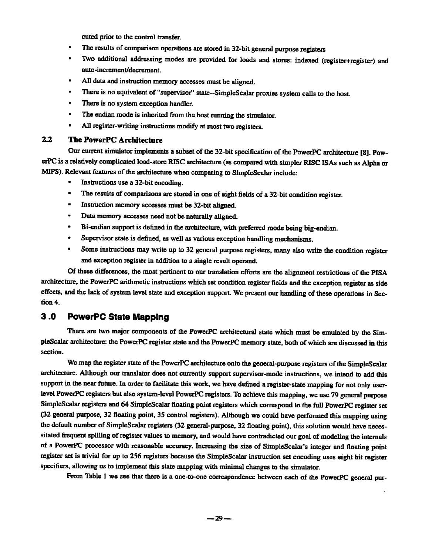cuted prior to the control transfer.

- The results of comparison operations are stored in 32-bit general purpose registers
- Two additional addressing modes are provided for loads and stores: indexed (register+register) and auto-increment/decrement.
- All data and instruction memory accesses must be aligned.
- There is no equivalent of "supervisor" state--SimpleScalar proxies system calls to the host.
- There is no system exception handler.
- The endian mode is inherited from the host running the simulator.
- All register-writing instructions modify at most two registers.

#### **2.2 The PowerPC Architecture**

Our current simulator implements a subset of the 32-bit specification of the PowerPC architecture [8]. PowerPC is a relatively complicated load-store RISC architecture (as compared with simpler RISC ISAs such as Alpha or MIPS). Relevant features of the architecture when comparing to SimpIeScalar include:

- Instructions use a 32-bit encoding.
- The results of comparisons are stored in one of eight fields of a 32-bit condition register.
- Instruction memory accesses must be 32-bit aligned.
- Data memory accesses need not be naturally aligned.
- Bi-endian support is defined in the architecture, with preferred mode being big-endian.
- Supervisor state is defined, as well as various exception handling mechanisms.
- Some instructions may write up to 32 general purpose registers, many also write the condition register and exception register in addition to a single result operand.

Of these differences, the most pertinent to our translation efforts are the alignment restrictions of the PISA architecture, the PowerPC arithmetic instructions which set condition register fields and the exception register as side effects, and the lack of system level state and exception support. We present our handling of these operations in Section 4.

## **3.0 PowerPC State Mapping**

There are two major components of the PowerPC architectural state which must be emulated by the SimpleScalar architecture: the PowerPC register state and the PowerPC memory state, both of which are discussed in this section.

We map the register state of the PowerPC architecture onto the general-purpose registers of the SimpleScalar architecture. Although our translator does not currently support supervisor-mode instructions, we intend to add this support in the near future. In order to facilitate this work, we have defined a register-state mapping for not only userlevel PowerPC registers but also system-level PowerPC registers. To achieve this mapping, we use 79 general purpose SimpleScalar registers and 64 SimpleScalar floating point registers which correspond to the full PowerPC register set (32 general purpose, 32 floating point, 35 control registers). Although we could have performed this mapping using the default number of SimpleScalar registers (32 general-purpose, 32 floating point), this solution would have necessitated frequent spilling of register values to memory, and would have contradicted our goal of modeling the internals of a PowerPC processor with reasonable accuracy. Increasing the size of SimpleScalar's integer and floating point register set is trivial for up to 256 registers because the SimpleScalar inslruction set encoding uses eight bit register specifiers, allowing us to implement this state mapping with minimal changes to the simulator.

From Table 1 we see that there is a one-to-one correspondence between each of the PowerPC general pur-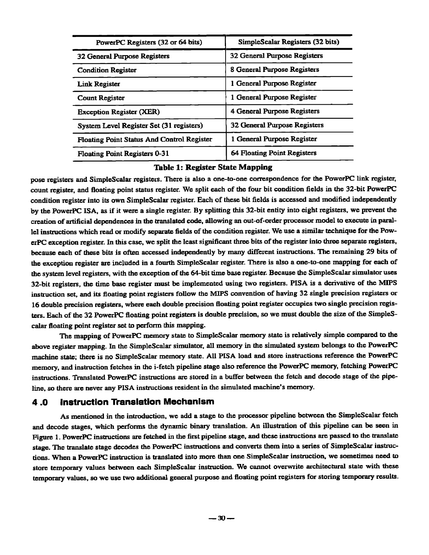| PowerPC Registers (32 or 64 bits)                 | SimpleScalar Registers (32 bits)    |
|---------------------------------------------------|-------------------------------------|
| 32 General Purpose Registers                      | 32 General Purpose Registers        |
| <b>Condition Register</b>                         | 8 General Purpose Registers         |
| <b>Link Register</b>                              | 1 General Purpose Register          |
| <b>Count Register</b>                             | 1 General Purpose Register          |
| <b>Exception Register (XER)</b>                   | 4 General Purpose Registers         |
| System Level Register Set (31 registers)          | <b>32 General Purpose Registers</b> |
| <b>Floating Point Status And Control Register</b> | 1 General Purpose Register          |
| <b>Floating Point Registers 0-31</b>              | <b>64 Floating Point Registers</b>  |

#### Table 1: Register State Mapping

pose registers and SimpleScalar registers. There is also a one-to-one correspondence for the PowerPC link register, count register, and floating point status register. We split each of the four bit condition fields in the 32-bit PowerPC condition register into its own SimpleScalar register. Each of these bit fields is accessed and modified independently by the PowerPC ISA, as if it were a single register. By splitting this 32-bit entity into eight registers, we prevent the creation of artificial dependences in the translated code, allowing an out-of-order processor model to execute in parallel instructions which read or modify separate fields of the condition register. We use a similar technique for the PowerPC exception register. In this case, we split the least significant three bits of the register into three separate registers, because each of these bits is often accessed independently by many different instructions. The remaining 29 bits of the exception register are included in a fourth SimpleScalar register. There is also a one-to-one mapping for each of the system level registers, with the exception of the 64-bit time base register. Because the SimpleScaiar simulator uses 32-bit registers, the time base register must be implemented using two registers. PISA is a derivative of the MIPS instruction set. and its floating point registers follow the NIIPS convention of having 32 single precision registers or 16 double precision registers, where each double precision floating point register occupies two single precision registers. Each of the 32 PowerPC floating point registers is double precision, so we must double the size of the SimpleScalar floating point register set to perform this mapping.

The mapping of PowerPC memory state to SimpleScalar memory state is relatively simple compared to the above register mapping. In the SimpleScalar simulator, all memory in the simulated system belongs to the PowerPC machine state; there is no SimpleScalar memory state. All PISA load and store instructions reference the PowerPC memory, and instruction fetches in the i-feteh pipeline stage also reference the PowerPC memory, fetching PowerPC instructions. Translated PowerPC instructions arc stored in a buffer between the fetch and decode stage of the pipeline, so there are never any PISA instructions resident in the simulated machine's memory.

#### **4.0 Instruction Translation Mechanism**

As mentioned in the introduction, we add a stage to the processor pipeline between the SimpleScalar fetch and decode stages, which performs the dynamic binary translation. An illustration of this pipeline can be seen in Figure 1. PowerPC instructions are fetched in the first pipeline stage, and these instructions are passed to the translate stage. The translate stage decodes the PowerPC instructions and converts them into a series of SimpleScalar instructions. When a PowerPC instruction is translated into more than one SimpleSealar instruction, we sometimes need to store temporary values between each SimpleScalar instruction. We cannot overwrite architectural state with these temporary values, so we use two additional general purpose and floating point registers for storing temporary results.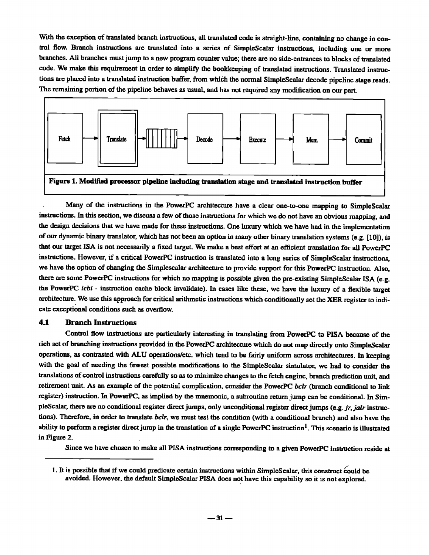With the exception of translated branch instructions, all translated code is straight-line, containing no change in control flow. Branch instructions are translated into a series of SimpleScalar instructions, including one or more branches. All branches must jump to a new program counter value; there are no side-entrances to blocks of translated code. We make this requirement in order to simplify the bookkeeping of translated instructions. Translated instructions are placed into a translated instruction buffer, from which the normal SimpleScalar decode pipeline stage reads. The remaining portion of the pipeline behaves as usual, and has not required any modification on our part.



Many of the instructions in the PowerPC architecture have a clear one-to-one mapping to SimpleScaiar instructions. In this section, we discuss a few of those instructions for which we do not have an obvious mapping, and the design decisions that we have made for these instructions. One luxury which we have had in the implementation of our dynamic binary translator, which has not been an option in many other binary translation systems (e.g. [10]), is that our target ISA is not necessarily a fixed target. We make a best effort at an efficient translation for all PowerPC instructions. However, if a critical PowerPC instruction is translated into a long series of SimpleScalar instructions, we have the option of changing the Simplescalar architecture to provide support for this PowerPC instruction. Also, there are some PowerPC instructions for which no mapping is possible given the pre-existing SimpleScalar ISA (e.g. the PowerPC *icbi -* instruction cache block invalidate). In cases like these, we have the luxury of a flexible target architecture. We use this approach for critical arithmetic instructions which conditionally set the XER register to indicate exceptional conditions such as overflow.

#### 4.1 Branch Instructions

Control flow instructions are particularly interesting in translating from PowerPC to PISA because of the rich set of branching instructions provided in the PowerPC architecture which do not map directly onto SimpleScalar operations, as contrasted with ALU operations/etc, which tend to be fairly uniform across architectures. In keeping with the goal of needing the fewest possible modifications to the SimpleScalar simulator, we had to consider the translations of control instructions carefully so as to minimize changes to the fetch engine, branch prediction unit, and retirement unit. As an example of the potential complication, consider the PowerPC *bclr* (branch conditional to link register) instruction. In PowerPC, as implied by the mnemonic, a subroutine return jump can be conditional. In SimpleScalar, there are no conditional register direct jumps, only unconditional register direct jumps (e.g. *jr, jalr* instructions). Therefore, in order to translate *belt,* we must test the condition (with a conditional branch) and also have the ability to perform a register direct jump in the translation of a single PowerPC instruction<sup>1</sup>. This scenario is illustrated in Figure 2.

Since we have chosen to make all PISA instructions corresponding to a given PowerPC instruction reside at

<sup>1.</sup> It is possible that if we could predicate certain instructions within SimpleScalar, this construct could be avoided. However, the default SimpleScalar PISA does not have this capability so it is not explored.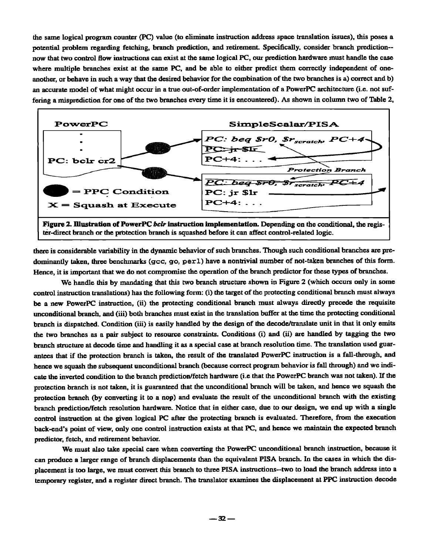the same logical program counter (PC) value (to eliminate instruction address space translation issues), this poses a potential problem regarding fetching, branch prediction, and retirement. Specifically, consider branch prediction- now that two control flow instructions can exist at the same logical PC, our prediction hardware must handle the case where multiple branches exist at the same PC, and be able to either predict them correctly independent of oneanother, or behave in such a way that the desired behavior for the combination of the two branches is a) correct and b) an accurate model of what might occur in a true out-of-order implementation of a PowerPC architecture (i.e. not suffering a misprediction for one of the two branches every time it is encountered). As shown in column two of Table 2,



there is considerable variability in the dynamic behavior of such branches. Though such conditional branches are predominantly taken, three benchmarks (gcc, go, perl) have a nontrivial number of not-taken branches of this form. Hence, it is important that we do not compromise the operation of the branch predictor for these types of branches.

We handle this by mandating that this two branch structure shown in Figure 2 (which occurs only in some control instruction translations) has the following form: (i) the target of the protecting conditional branch must always be a new PowerPC instruction, (ii) the protecting conditional branch must always directly precede the requisite unconditional branch, and (iii) both branches must exist in the translation buffer at the time the protecting conditional branch is dispatched. Condition (iii) is easily handled by the design of the decode/translate unit in that it only emits the two branches as a pair subject to resource constraints. Conditions (i) and (ii) are handled by tagging the two branch structure at decode time and handling it as a special case at branch resolution time. The translation used guarantees that if the protection branch is taken, the result of the translated PowerPC instruction is a fall-through, and hence we squash the subsequent unconditional branch (because correct program behavior is fall through) and we indicate the inverted condition to the branch prediction/fetch hardware (i.e that the PowerPC branch was not taken). If the protection branch is not taken, it is guaranteed that the unconditional branch will be taken, and hence we squash the protection branch (by converting it to a nop) and evaluate the result of the unconditional branch with the existing branch prediction/fetch resolution hardware. Notice that in either case, due to our design, we end up with a single control instruction at the given logical PC after the protecting branch is evaluated. Therefore, from the execution back-end's point of view, only one control instruction exists at that PC, and hence we maintain the expected branch predictor, fetch, and retirement behavior.

We must also take special care when converting the PowerPC unconditional branch instruction, because it can produce a larger range of branch displacements than the equivalent PISA branch. In the cases in which the displacement is too large, we must convert this branch to three PISA instructions--two to load the branch address into a temporary register, and a register direct branch. The translator examines the displacement at PPC instruction decode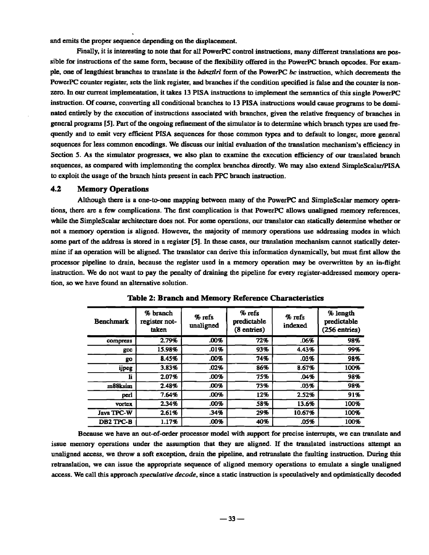and emits the proper sequence depending on the displacement.

Finally, it is interesting to note that for all PowerPC control instructions, many different translations are possible for instructions of the same form, because of the flexibility offered in the PowerPC branch opcodes. For example, one of lengthiest branches to ITanslate is the *hdnztlrl* form of the PowerPC bc instruction, which decrements the PowerPC counter register, sets the link register, and branches if the condition specified is false and the counter is nonzero. In our current implementation, it takes 13 PISA instructions to implement the semantics of this single PowerPC instruction. Of course, converting all conditional branches to 13 PISA instructions would cause programs to be dominated entirely by the execution of instructions associated with branches, given the relative frequency of branches in general programs [5]. Part of the ongoing refinement of the simulator is to determine which branch types are used frequently and to emit very efficient PISA sequences for those common types and to default to longer, more general sequences for less common encodings. We discuss our initial evaluation of the translation mechanism's efficiency in Section 5. As the simulator progresses, we also plan to examine the execution efficiency of our translated branch sequences, as compared with implementing the complex branches directly. We may also extend SimpleScalar/PISA to exploit the usage of the branch hints present in each PPC branch instruction,

#### 4.2 Memory Operations

Although there is a one-to-one mapping between many of the PowerPC and SimpleScalar memory operations, there are a few complications. The first complication is that PowerPC allows unaligned memory references, while the SimpleScalar architecture does not. For some operations, our translator can statically determine whether or not a memory operation is aligned. However, the majority of memory operations use addressing modes in which some part of the address is stored in a register [5]. In these cases, our translation mechanism cannot statically determine if an operation will be aligned. The translator can derive this information dynamicalIy, but must first allow the processor pipeline to drain, because the register used in a memory operation may be overwritten by an in-flight instruction. We do not want to pay the penalty of draining the pipeline for every register-addressed memory operation, so we have found an alternative solution.

| <b>Benchmark</b> | % branch<br>register not-<br>taken | $%$ refs<br>unaligned | $%$ refs<br>predictable<br>$(8 \text{ entries})$ | $%$ refs<br>indexed | % length<br>predictable<br>$(256$ entries) |
|------------------|------------------------------------|-----------------------|--------------------------------------------------|---------------------|--------------------------------------------|
| compress         | 2.79%                              | .00%                  | 72%                                              | .06%                | 98%                                        |
| gcc              | 15.98%                             | .01%                  | 93%                                              | 4.43%               | 99%                                        |
| go               | 8.45%                              | .00%                  | 74%                                              | .03%                | 98%                                        |
| ijpeg            | 3.83%                              | .02%                  | 86%                                              | 8.67%               | 100%                                       |
| li               | 2.07%                              | .00%                  | 75%                                              | .04%                | 98%                                        |
| m88ksim          | 2.48%                              | .00%                  | 73%                                              | .03%                | 98%                                        |
| perl             | 7.64%                              | .00%                  | 12%                                              | 2.52%               | 91%                                        |
| <b>vortex</b>    | 2.34%                              | .00%                  | 58%                                              | 13.6%               | 100%                                       |
| Java TPC-W       | 2.61%                              | .34%                  | 29%                                              | 10.67%              | 100%                                       |
| DB2 TPC-B        | 1.17%                              | .00%                  | 40%                                              | .05%                | 100%                                       |

Table 2: Branch and Memory Reference Characteristics

Because we have an out-of-order processor model with support for precise interrupts, we can translate and issue memory operations under the assumption that they are aligned. If the translated instructions attempt an unaligned access, we throw a soft exception, drain the pipeline, and retranslate the faulting instruction. During this relranslation, we can issue the appropriate sequence of aligned memory operations to emulate a single unaligned access. We call this approach *speculative decode,* since a static instruction is speculatively and optimistically decoded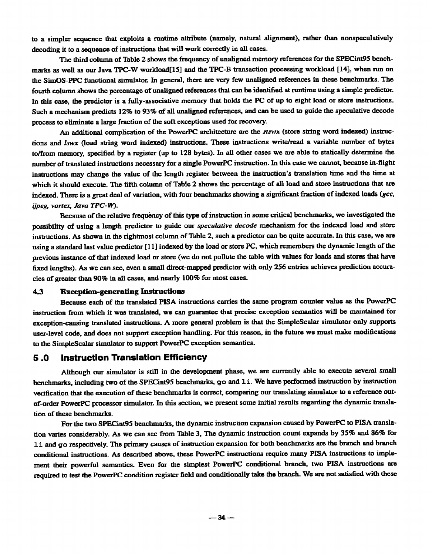to a simpler sequence that exploits a runtime attribute (namely, natural alignment), rather than nonspeculatively decoding it to a sequence of instructions that will work correctly in all cases.

The third column of Table 2 shows the frequency of unaligned memory references for the SPECint95 benchmarks as well as our Java TPC-W workload[15] and the TPC-B transaction processing workload [14], when run on the SimOS-PPC functional simulator. In general, there are very few unaligned references in these benchmarks. The fourth column shows the percentage of unaligned references that can be identified at runtime using a simple predictor. In this case, the predictor is a fully-associative memory that holds the PC of up to eight load or store instructions. Such a mechanism predicts 12% to 93% of all unaligned references, and can be used to guide the speculative decode process to eliminate a large fraction of the soft exceptions used for recovery.

An additional complication of the PowerPC architecture are the *styx* (store string word indexed) instructions and *lawx* (load string word indexed) instructions. These instructions write/read a variable number of bytes to/from memory, specified by a register (up to 128 bytes). In all other cases we are able to statically determine the number of translated instructions necessary for a single PowerPC instruction. In this case we cannel because in-flight instructions may change the value of the length register between the instruction's translation time and the time at which it should execute. The fifth column of Table 2 shows the percentage of all load and store instructions that are indexed. There is a great deal of variation, with four benchmarks showing a significant fraction of indexed loads *(gcc, ijpeg, vortex, Java TPC-W).* 

Because of the relative frequency of this type of instruction in some critical benchmarks, we investigated the possibility of using a length predictor to guide our *speculative decode* mechanism for the indexed load and store instructions. As shown in the rightmost column of Table 2, such a predictor can be quite accurate. In this case, we are using a standard last value predictor [11] indexed by the load or store PC, which remembers the dynamic length of the previous instance of that indexed load or store (we do not pollute the table with values for loads and stores that have fixed lengths). As we can see, even a small direct-mapped predictor with only 256 entries achieves prediction accuracies of greater than 90% in all cases, and nearly 100% for most cases.

#### 4.3 Exception-generating Instructions

Because each of the translated PISA instructions carries the same program counter value as the PowerPC instruction from which it was translated, we can guarantee that precise exception semantics will be maintained for exception-cansing translated instruclions. A more general problem is that the SimpleScalar simulator only supports user-level code, and does not support exception handling. For this reason, in the future we must make modifications to the SimpleScalar simulator to support PowerPC exception semantics.

## **5.0 Instruction Translation Efficiency**

Although our simulator is still in the development phase, we are currently able to execute several small benchmarks, including two of the SPECint95 benchmarks, go and 1 i. We have performed instruction by instruction verification that the execution of these benchmarks is correct, comparing our translating simulator to a reference outof-order Powerpc processor simulator. In this section, we present some initial results regarding the dynamic translation of these benchmarks.

For the two SPECint95 benchmarks, the dynamic instruction expansion caused by PowerPC to PISA translation varies considerably. As we can see from Table 3, The dynamic instruction count expands by 35% and 86% for J.± and go respectively. The primary causes of instruction expansion for both benchmarks are the branch and branch conditional instructions. As described above, these Powerpc instructions require many PISA instructions to implement their powerful semantics. Even for the simplest PowerPC conditional branch, two PISA instructions are required to test the PowerPC condition register field and conditionally take the branch. We are not satisfied with these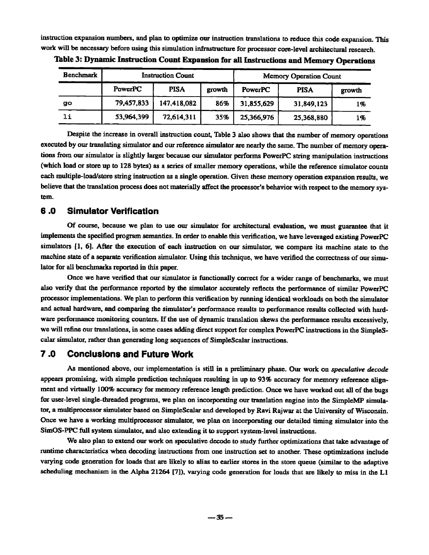instruction expansion numbers, and plan to optimize our instruction translations to reduce this code expansion. This work will be necessary before using this simulation infrastructure for processor core-level architectural research.

| Benchmark | <b>Instruction Count</b> |             |        | <b>Memory Operation Count</b> |             |        |
|-----------|--------------------------|-------------|--------|-------------------------------|-------------|--------|
|           | PowerPC                  | <b>PISA</b> | growth | <b>PowerPC</b>                | <b>PISA</b> | growth |
| go        | 79,457,833               | 147,418,082 | 86%    | 31,855,629                    | 31,849,123  | 1%     |
| li        | 53,964,399               | 72,614,311  | 35%    | 25,366,976                    | 25,368,880  | 1%     |

Table 3: Dynamic Instruction Count Expansion for all Instructions and Memory Operations

Despite the increase in overall instruction count, Table 3 also shows that the number of memory operations executed by our translating simulator and our reference simulator are nearly the same. The number of memory operations from our simulator is slightly larger because our simulator performs PowerPC string manipulation instructions (which load or store up to 128 bytes) as a series of smaller memory operations, while the reference simulator counts each multiple-load/store string instruction as a single operation. Given these memory operation expansion results, we believe that the translation process does not materially affect the processor's behavior with respect to the memory system.

## **6.0 Simulator Verification**

Of course, because we plan to use our simulator for architectural evaluation, we must guarantee that it implements the specified program semantics. In order to enable this verification, we have leveraged existing PowerPC simulators [1, 6]. After the execution of each instruction on our simulator, we compare its machine state to the machine state of a separate verification simulator. Using this technique, we have verified the correctness of our simulator for all benchmarks reported in this paper.

Once we have verified that our simulator is functionally correct for a wider range of benchmarks, we must also verify that the performance reported by the simulator accurately reflects the performance of similar PowerPC processor implementations. We plan to perform this verification by running identical workloads on both the simulator and actual hardware, and comparing the simulator's performance results to performance results collected with hardware performance monitoring counters. If the use of dynamic translation skews the performance results excessively, we will refine our translations, in some cases adding direct support for complex PowerPC instructions in the SimpleScalar simulator, rather than generating long sequences of SimpleScalar instructions.

## **7.0 Conclusions and Future Work**

As mentioned above, our implementation is still in a preliminary phase. Our work on *speculative decode*  appears promising, with simple prediction techniques resulting in up to 93% accuracy for memory reference alignment and virtually 100% accuracy for memory reference length prediction. Once we have worked out all of the bugs for user-level single-threaded programs, we plan on incorporating our translation engine into the SimpleMP simulator, a mulfiprocessor simulator based on SimpleScalar and developed by Ravi Rajwar at the University of Wisconsin. Once we have a working multiprocessor simulator, we plan on incorporating our detailed timing simulator into the SimOS-PPC full system simulator, and also extending it to support system-level instructions.

We also plan to extend our work on speculative decode to study further optimizations that take advantage of runtime characteristics when decoding instructions from one instruction set to another. These optimizations include varying code generation for loads that are likely to alias to earlier stores in the store queue (similar to the adaptive scheduling mechanism in the Alpha 21264 [7]), varying code generation for loads that are likely to miss in the LI